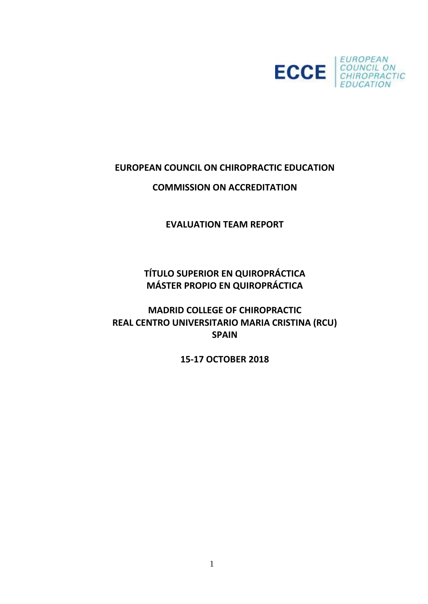

# **EUROPEAN COUNCIL ON CHIROPRACTIC EDUCATION**

# **COMMISSION ON ACCREDITATION**

**EVALUATION TEAM REPORT**

**TÍTULO SUPERIOR EN QUIROPRÁCTICA MÁSTER PROPIO EN QUIROPRÁCTICA**

**MADRID COLLEGE OF CHIROPRACTIC REAL CENTRO UNIVERSITARIO MARIA CRISTINA (RCU) SPAIN**

**15-17 OCTOBER 2018**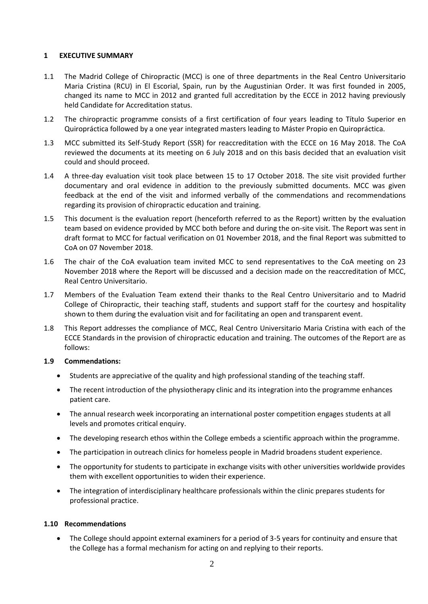#### **1 EXECUTIVE SUMMARY**

- 1.1 The Madrid College of Chiropractic (MCC) is one of three departments in the Real Centro Universitario Maria Cristina (RCU) in El Escorial, Spain, run by the Augustinian Order. It was first founded in 2005, changed its name to MCC in 2012 and granted full accreditation by the ECCE in 2012 having previously held Candidate for Accreditation status.
- 1.2 The chiropractic programme consists of a first certification of four years leading to Título Superior en Quiropráctica followed by a one year integrated masters leading to Máster Propio en Quiropráctica.
- 1.3 MCC submitted its Self-Study Report (SSR) for reaccreditation with the ECCE on 16 May 2018. The CoA reviewed the documents at its meeting on 6 July 2018 and on this basis decided that an evaluation visit could and should proceed.
- 1.4 A three-day evaluation visit took place between 15 to 17 October 2018. The site visit provided further documentary and oral evidence in addition to the previously submitted documents. MCC was given feedback at the end of the visit and informed verbally of the commendations and recommendations regarding its provision of chiropractic education and training.
- 1.5 This document is the evaluation report (henceforth referred to as the Report) written by the evaluation team based on evidence provided by MCC both before and during the on-site visit. The Report was sent in draft format to MCC for factual verification on 01 November 2018, and the final Report was submitted to CoA on 07 November 2018.
- 1.6 The chair of the CoA evaluation team invited MCC to send representatives to the CoA meeting on 23 November 2018 where the Report will be discussed and a decision made on the reaccreditation of MCC, Real Centro Universitario.
- 1.7 Members of the Evaluation Team extend their thanks to the Real Centro Universitario and to Madrid College of Chiropractic, their teaching staff, students and support staff for the courtesy and hospitality shown to them during the evaluation visit and for facilitating an open and transparent event.
- 1.8 This Report addresses the compliance of MCC, Real Centro Universitario Maria Cristina with each of the ECCE Standards in the provision of chiropractic education and training. The outcomes of the Report are as follows:

#### **1.9 Commendations:**

- Students are appreciative of the quality and high professional standing of the teaching staff.
- The recent introduction of the physiotherapy clinic and its integration into the programme enhances patient care.
- The annual research week incorporating an international poster competition engages students at all levels and promotes critical enquiry.
- The developing research ethos within the College embeds a scientific approach within the programme.
- The participation in outreach clinics for homeless people in Madrid broadens student experience.
- The opportunity for students to participate in exchange visits with other universities worldwide provides them with excellent opportunities to widen their experience.
- The integration of interdisciplinary healthcare professionals within the clinic prepares students for professional practice.

#### **1.10 Recommendations**

• The College should appoint external examiners for a period of 3-5 years for continuity and ensure that the College has a formal mechanism for acting on and replying to their reports.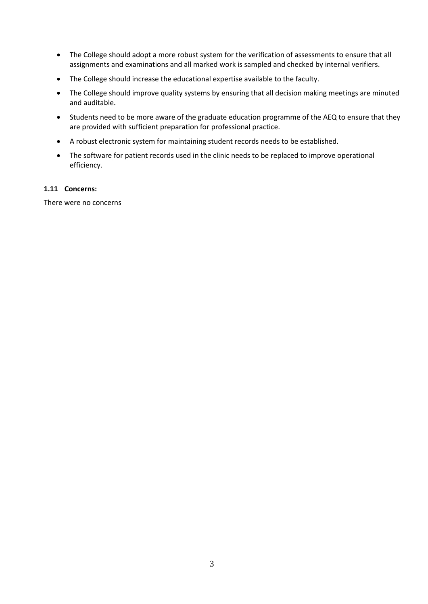- The College should adopt a more robust system for the verification of assessments to ensure that all assignments and examinations and all marked work is sampled and checked by internal verifiers.
- The College should increase the educational expertise available to the faculty.
- The College should improve quality systems by ensuring that all decision making meetings are minuted and auditable.
- Students need to be more aware of the graduate education programme of the AEQ to ensure that they are provided with sufficient preparation for professional practice.
- A robust electronic system for maintaining student records needs to be established.
- The software for patient records used in the clinic needs to be replaced to improve operational efficiency.

#### **1.11 Concerns:**

There were no concerns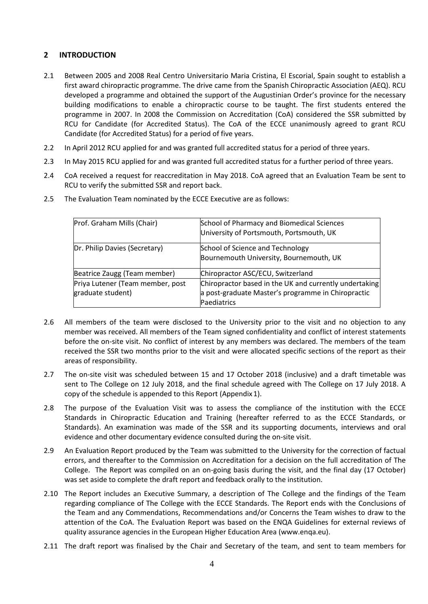### **2 INTRODUCTION**

- 2.1 Between 2005 and 2008 Real Centro Universitario Maria Cristina, El Escorial, Spain sought to establish a first award chiropractic programme. The drive came from the Spanish Chiropractic Association (AEQ). RCU developed a programme and obtained the support of the Augustinian Order's province for the necessary building modifications to enable a chiropractic course to be taught. The first students entered the programme in 2007. In 2008 the Commission on Accreditation (CoA) considered the SSR submitted by RCU for Candidate (for Accredited Status). The CoA of the ECCE unanimously agreed to grant RCU Candidate (for Accredited Status) for a period of five years.
- 2.2 In April 2012 RCU applied for and was granted full accredited status for a period of three years.
- 2.3 In May 2015 RCU applied for and was granted full accredited status for a further period of three years.
- 2.4 CoA received a request for reaccreditation in May 2018. CoA agreed that an Evaluation Team be sent to RCU to verify the submitted SSR and report back.

| Prof. Graham Mills (Chair)                            | School of Pharmacy and Biomedical Sciences<br>University of Portsmouth, Portsmouth, UK                                      |
|-------------------------------------------------------|-----------------------------------------------------------------------------------------------------------------------------|
| Dr. Philip Davies (Secretary)                         | School of Science and Technology<br>Bournemouth University, Bournemouth, UK                                                 |
| Beatrice Zaugg (Team member)                          | Chiropractor ASC/ECU, Switzerland                                                                                           |
| Priya Lutener (Team member, post<br>graduate student) | Chiropractor based in the UK and currently undertaking<br>a post-graduate Master's programme in Chiropractic<br>Paediatrics |

2.5 The Evaluation Team nominated by the ECCE Executive are as follows:

- 2.6 All members of the team were disclosed to the University prior to the visit and no objection to any member was received. All members of the Team signed confidentiality and conflict of interest statements before the on-site visit. No conflict of interest by any members was declared. The members of the team received the SSR two months prior to the visit and were allocated specific sections of the report as their areas of responsibility.
- 2.7 The on-site visit was scheduled between 15 and 17 October 2018 (inclusive) and a draft timetable was sent to The College on 12 July 2018, and the final schedule agreed with The College on 17 July 2018. A copy of the schedule is appended to this Report (Appendix 1).
- 2.8 The purpose of the Evaluation Visit was to assess the compliance of the institution with the ECCE Standards in Chiropractic Education and Training (hereafter referred to as the ECCE Standards, or Standards). An examination was made of the SSR and its supporting documents, interviews and oral evidence and other documentary evidence consulted during the on-site visit.
- 2.9 An Evaluation Report produced by the Team was submitted to the University for the correction of factual errors, and thereafter to the Commission on Accreditation for a decision on the full accreditation of The College. The Report was compiled on an on-going basis during the visit, and the final day (17 October) was set aside to complete the draft report and feedback orally to the institution.
- 2.10 The Report includes an Executive Summary, a description of The College and the findings of the Team regarding compliance of The College with the ECCE Standards. The Report ends with the Conclusions of the Team and any Commendations, Recommendations and/or Concerns the Team wishes to draw to the attention of the CoA. The Evaluation Report was based on the ENQA Guidelines for external reviews of quality assurance agencies in the European Higher Education Area [\(www.enqa.eu\)](http://www.enqa.eu/).
- 2.11 The draft report was finalised by the Chair and Secretary of the team, and sent to team members for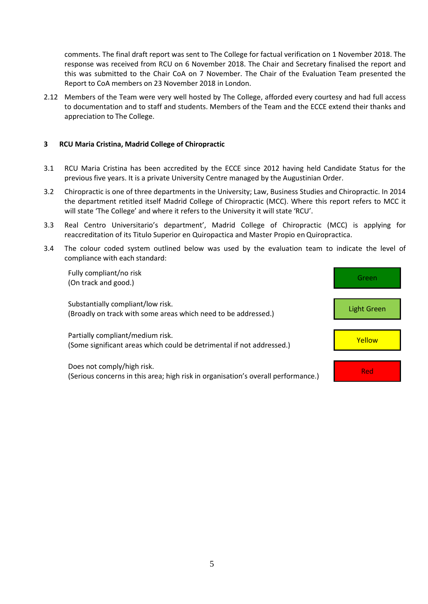comments. The final draft report was sent to The College for factual verification on 1 November 2018. The response was received from RCU on 6 November 2018. The Chair and Secretary finalised the report and this was submitted to the Chair CoA on 7 November. The Chair of the Evaluation Team presented the Report to CoA members on 23 November 2018 in London.

2.12 Members of the Team were very well hosted by The College, afforded every courtesy and had full access to documentation and to staff and students. Members of the Team and the ECCE extend their thanks and appreciation to The College.

#### **3 RCU Maria Cristina, Madrid College of Chiropractic**

- 3.1 RCU Maria Cristina has been accredited by the ECCE since 2012 having held Candidate Status for the previous five years. It is a private University Centre managed by the Augustinian Order.
- 3.2 Chiropractic is one of three departments in the University; Law, Business Studies and Chiropractic. In 2014 the department retitled itself Madrid College of Chiropractic (MCC). Where this report refers to MCC it will state 'The College' and where it refers to the University it will state 'RCU'.
- 3.3 Real Centro Universitario's department', Madrid College of Chiropractic (MCC) is applying for reaccreditation of its Titulo Superior en Quiropactica and Master Propio en Quiropractica.
- 3.4 The colour coded system outlined below was used by the evaluation team to indicate the level of compliance with each standard:

| Fully compliant/no risk<br>(On track and good.)                                                                 | Green       |
|-----------------------------------------------------------------------------------------------------------------|-------------|
| Substantially compliant/low risk.<br>(Broadly on track with some areas which need to be addressed.)             | Light Green |
| Partially compliant/medium risk.<br>(Some significant areas which could be detrimental if not addressed.)       | Yellow      |
| Does not comply/high risk.<br>(Serious concerns in this area; high risk in organisation's overall performance.) | Red         |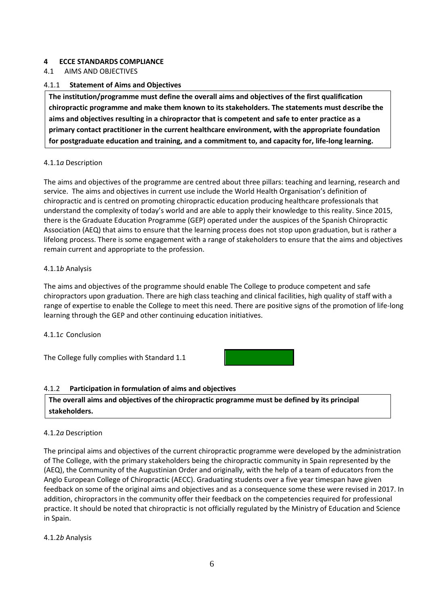### **4 ECCE STANDARDS COMPLIANCE**

4.1 AIMS AND OBJECTIVES

### 4.1.1 **Statement of Aims and Objectives**

**The institution/programme must define the overall aims and objectives of the first qualification chiropractic programme and make them known to its stakeholders. The statements must describe the aims and objectives resulting in a chiropractor that is competent and safe to enter practice as a primary contact practitioner in the current healthcare environment, with the appropriate foundation for postgraduate education and training, and a commitment to, and capacity for, life-long learning.**

#### 4.1.1*a* Description

The aims and objectives of the programme are centred about three pillars: teaching and learning, research and service. The aims and objectives in current use include the World Health Organisation's definition of chiropractic and is centred on promoting chiropractic education producing healthcare professionals that understand the complexity of today's world and are able to apply their knowledge to this reality. Since 2015, there is the Graduate Education Programme (GEP) operated under the auspices of the Spanish Chiropractic Association (AEQ) that aims to ensure that the learning process does not stop upon graduation, but is rather a lifelong process. There is some engagement with a range of stakeholders to ensure that the aims and objectives remain current and appropriate to the profession.

#### 4.1.1*b* Analysis

The aims and objectives of the programme should enable The College to produce competent and safe chiropractors upon graduation. There are high class teaching and clinical facilities, high quality of staff with a range of expertise to enable the College to meet this need. There are positive signs of the promotion of life-long learning through the GEP and other continuing education initiatives.

#### 4.1.1*c* Conclusion

The College fully complies with Standard 1.1



#### 4.1.2 **Participation in formulation of aims and objectives**

**The overall aims and objectives of the chiropractic programme must be defined by its principal stakeholders.**

#### 4.1.2*a* Description

The principal aims and objectives of the current chiropractic programme were developed by the administration of The College, with the primary stakeholders being the chiropractic community in Spain represented by the (AEQ), the Community of the Augustinian Order and originally, with the help of a team of educators from the Anglo European College of Chiropractic (AECC). Graduating students over a five year timespan have given feedback on some of the original aims and objectives and as a consequence some these were revised in 2017. In addition, chiropractors in the community offer their feedback on the competencies required for professional practice. It should be noted that chiropractic is not officially regulated by the Ministry of Education and Science in Spain.

#### 4.1.2*b* Analysis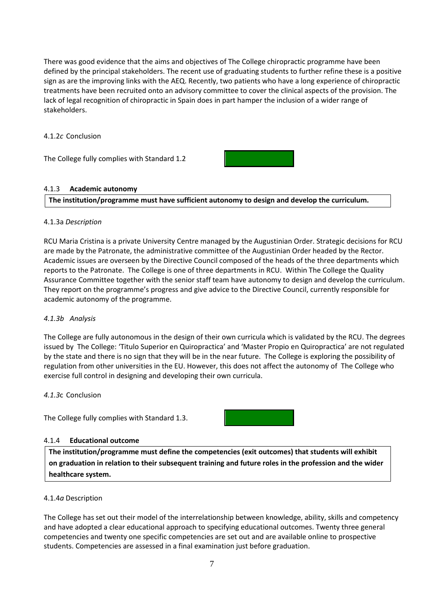There was good evidence that the aims and objectives of The College chiropractic programme have been defined by the principal stakeholders. The recent use of graduating students to further refine these is a positive sign as are the improving links with the AEQ. Recently, two patients who have a long experience of chiropractic treatments have been recruited onto an advisory committee to cover the clinical aspects of the provision. The lack of legal recognition of chiropractic in Spain does in part hamper the inclusion of a wider range of stakeholders.

#### 4.1.2*c* Conclusion

The College fully complies with Standard 1.2

#### 4.1.3 **Academic autonomy**

**The institution/programme must have sufficient autonomy to design and develop the curriculum.**

#### 4.1.3a *Description*

RCU Maria Cristina is a private University Centre managed by the Augustinian Order. Strategic decisions for RCU are made by the Patronate, the administrative committee of the Augustinian Order headed by the Rector. Academic issues are overseen by the Directive Council composed of the heads of the three departments which reports to the Patronate. The College is one of three departments in RCU. Within The College the Quality Assurance Committee together with the senior staff team have autonomy to design and develop the curriculum. They report on the programme's progress and give advice to the Directive Council, currently responsible for academic autonomy of the programme.

#### *4.1.3b Analysis*

The College are fully autonomous in the design of their own curricula which is validated by the RCU. The degrees issued by The College: 'Titulo Superior en Quiropractica' and 'Master Propio en Quiropractica' are not regulated by the state and there is no sign that they will be in the near future. The College is exploring the possibility of regulation from other universities in the EU. However, this does not affect the autonomy of The College who exercise full control in designing and developing their own curricula.

#### *4.1.3*c Conclusion

The College fully complies with Standard 1.3.

#### 4.1.4 **Educational outcome**

**The institution/programme must define the competencies (exit outcomes) that students will exhibit on graduation in relation to their subsequent training and future roles in the profession and the wider healthcare system.**

#### 4.1.4*a* Description

The College has set out their model of the interrelationship between knowledge, ability, skills and competency and have adopted a clear educational approach to specifying educational outcomes. Twenty three general competencies and twenty one specific competencies are set out and are available online to prospective students. Competencies are assessed in a final examination just before graduation.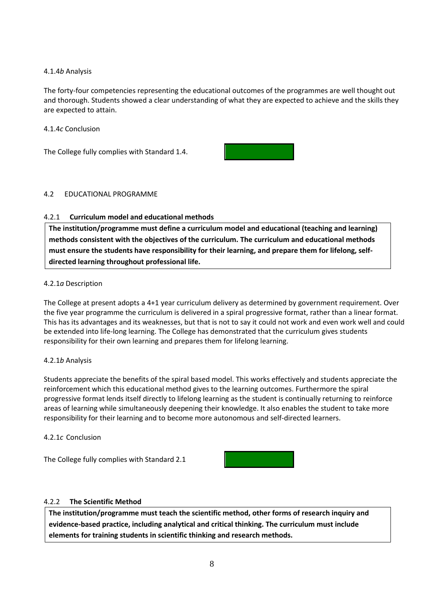### 4.1.4*b* Analysis

The forty-four competencies representing the educational outcomes of the programmes are well thought out and thorough. Students showed a clear understanding of what they are expected to achieve and the skills they are expected to attain.

#### 4.1.4*c* Conclusion

The College fully complies with Standard 1.4.



#### 4.2 EDUCATIONAL PROGRAMME

#### 4.2.1 **Curriculum model and educational methods**

**The institution/programme must define a curriculum model and educational (teaching and learning) methods consistent with the objectives of the curriculum. The curriculum and educational methods must ensure the students have responsibility for their learning, and prepare them for lifelong, selfdirected learning throughout professional life.**

#### 4.2.1*a* Description

The College at present adopts a 4+1 year curriculum delivery as determined by government requirement. Over the five year programme the curriculum is delivered in a spiral progressive format, rather than a linear format. This has its advantages and its weaknesses, but that is not to say it could not work and even work well and could be extended into life-long learning. The College has demonstrated that the curriculum gives students responsibility for their own learning and prepares them for lifelong learning.

#### 4.2.1*b* Analysis

Students appreciate the benefits of the spiral based model. This works effectively and students appreciate the reinforcement which this educational method gives to the learning outcomes. Furthermore the spiral progressive format lends itself directly to lifelong learning as the student is continually returning to reinforce areas of learning while simultaneously deepening their knowledge. It also enables the student to take more responsibility for their learning and to become more autonomous and self-directed learners.

#### 4.2.1*c* Conclusion

The College fully complies with Standard 2.1



#### 4.2.2 **The Scientific Method**

**The institution/programme must teach the scientific method, other forms of research inquiry and evidence-based practice, including analytical and critical thinking. The curriculum must include elements for training students in scientific thinking and research methods.**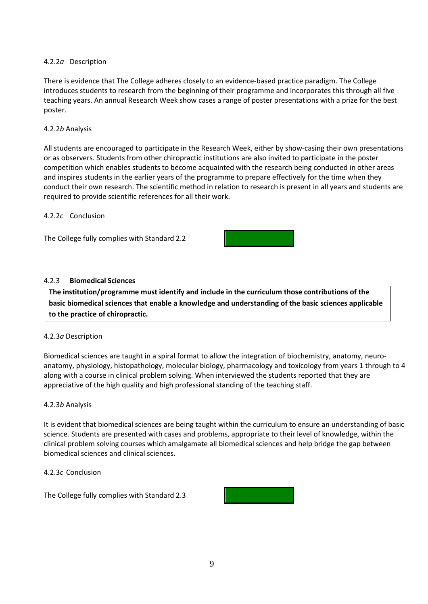#### 4.2.2*a* Description

There is evidence that The College adheres closely to an evidence-based practice paradigm. The College introduces students to research from the beginning of their programme and incorporates this through all five teaching years. An annual Research Week show cases a range of poster presentations with a prize for the best poster.

#### 4.2.2*b* Analysis

All students are encouraged to participate in the Research Week, either by show-casing their own presentations or as observers. Students from other chiropractic institutions are also invited to participate in the poster competition which enables students to become acquainted with the research being conducted in other areas and inspires students in the earlier years of the programme to prepare effectively for the time when they conduct their own research. The scientific method in relation to research is present in all years and students are required to provide scientific references for all their work.

#### 4.2.2*c* Conclusion

The College fully complies with Standard 2.2



#### 4.2.3 **Biomedical Sciences**

**The institution/programme must identify and include in the curriculum those contributions of the basic biomedical sciences that enable a knowledge and understanding of the basic sciences applicable to the practice of chiropractic.**

#### 4.2.3*a* Description

Biomedical sciences are taught in a spiral format to allow the integration of biochemistry, anatomy, neuroanatomy, physiology, histopathology, molecular biology, pharmacology and toxicology from years 1 through to 4 along with a course in clinical problem solving. When interviewed the students reported that they are appreciative of the high quality and high professional standing of the teaching staff.

#### 4.2.3*b* Analysis

It is evident that biomedical sciences are being taught within the curriculum to ensure an understanding of basic science. Students are presented with cases and problems, appropriate to their level of knowledge, within the clinical problem solving courses which amalgamate all biomedical sciences and help bridge the gap between biomedical sciences and clinical sciences.

#### 4.2.3*c* Conclusion

The College fully complies with Standard 2.3

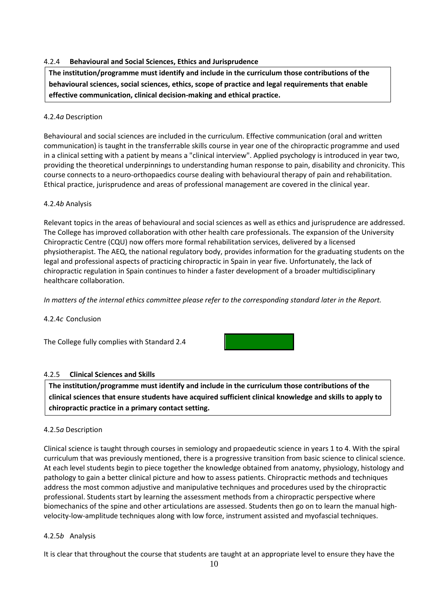#### 4.2.4 **Behavioural and Social Sciences, Ethics and Jurisprudence**

**The institution/programme must identify and include in the curriculum those contributions of the behavioural sciences, social sciences, ethics, scope of practice and legal requirements that enable effective communication, clinical decision-making and ethical practice.**

#### 4.2.4*a* Description

Behavioural and social sciences are included in the curriculum. Effective communication (oral and written communication) is taught in the transferrable skills course in year one of the chiropractic programme and used in a clinical setting with a patient by means a "clinical interview". Applied psychology is introduced in year two, providing the theoretical underpinnings to understanding human response to pain, disability and chronicity. This course connects to a neuro-orthopaedics course dealing with behavioural therapy of pain and rehabilitation. Ethical practice, jurisprudence and areas of professional management are covered in the clinical year.

#### 4.2.4*b* Analysis

Relevant topics in the areas of behavioural and social sciences as well as ethics and jurisprudence are addressed. The College has improved collaboration with other health care professionals. The expansion of the University Chiropractic Centre (CQU) now offers more formal rehabilitation services, delivered by a licensed physiotherapist. The AEQ, the national regulatory body, provides information for the graduating students on the legal and professional aspects of practicing chiropractic in Spain in year five. Unfortunately, the lack of chiropractic regulation in Spain continues to hinder a faster development of a broader multidisciplinary healthcare collaboration.

*In matters of the internal ethics committee please refer to the corresponding standard later in the Report.*

4.2.4*c* Conclusion

The College fully complies with Standard 2.4



#### 4.2.5 **Clinical Sciences and Skills**

**The institution/programme must identify and include in the curriculum those contributions of the clinical sciences that ensure students have acquired sufficient clinical knowledge and skills to apply to chiropractic practice in a primary contact setting.**

#### 4.2.5*a* Description

Clinical science is taught through courses in semiology and propaedeutic science in years 1 to 4. With the spiral curriculum that was previously mentioned, there is a progressive transition from basic science to clinical science. At each level students begin to piece together the knowledge obtained from anatomy, physiology, histology and pathology to gain a better clinical picture and how to assess patients. Chiropractic methods and techniques address the most common adjustive and manipulative techniques and procedures used by the chiropractic professional. Students start by learning the assessment methods from a chiropractic perspective where biomechanics of the spine and other articulations are assessed. Students then go on to learn the manual highvelocity-low-amplitude techniques along with low force, instrument assisted and myofascial techniques.

#### 4.2.5*b* Analysis

It is clear that throughout the course that students are taught at an appropriate level to ensure they have the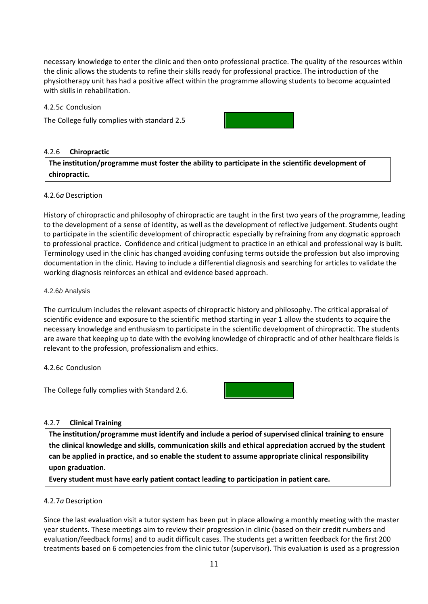necessary knowledge to enter the clinic and then onto professional practice. The quality of the resources within the clinic allows the students to refine their skills ready for professional practice. The introduction of the physiotherapy unit has had a positive affect within the programme allowing students to become acquainted with skills in rehabilitation.

4.2.5*c* Conclusion

The College fully complies with standard 2.5



#### 4.2.6 **Chiropractic**

**The institution/programme must foster the ability to participate in the scientific development of chiropractic.**

#### 4.2.6*a* Description

History of chiropractic and philosophy of chiropractic are taught in the first two years of the programme, leading to the development of a sense of identity, as well as the development of reflective judgement. Students ought to participate in the scientific development of chiropractic especially by refraining from any dogmatic approach to professional practice. Confidence and critical judgment to practice in an ethical and professional way is built. Terminology used in the clinic has changed avoiding confusing terms outside the profession but also improving documentation in the clinic. Having to include a differential diagnosis and searching for articles to validate the working diagnosis reinforces an ethical and evidence based approach.

#### 4.2.6*b* Analysis

The curriculum includes the relevant aspects of chiropractic history and philosophy. The critical appraisal of scientific evidence and exposure to the scientific method starting in year 1 allow the students to acquire the necessary knowledge and enthusiasm to participate in the scientific development of chiropractic. The students are aware that keeping up to date with the evolving knowledge of chiropractic and of other healthcare fields is relevant to the profession, professionalism and ethics.

#### 4.2.6*c* Conclusion

The College fully complies with Standard 2.6.



#### 4.2.7 **Clinical Training**

**The institution/programme must identify and include a period of supervised clinical training to ensure the clinical knowledge and skills, communication skills and ethical appreciation accrued by the student can be applied in practice, and so enable the student to assume appropriate clinical responsibility upon graduation.**

**Every student must have early patient contact leading to participation in patient care.**

#### 4.2.7*a* Description

Since the last evaluation visit a tutor system has been put in place allowing a monthly meeting with the master year students. These meetings aim to review their progression in clinic (based on their credit numbers and evaluation/feedback forms) and to audit difficult cases. The students get a written feedback for the first 200 treatments based on 6 competencies from the clinic tutor (supervisor). This evaluation is used as a progression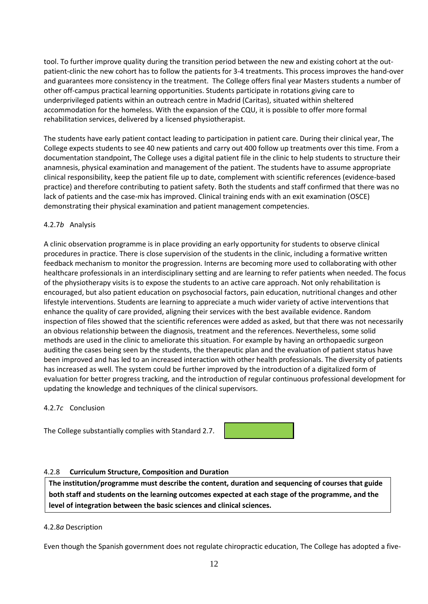tool. To further improve quality during the transition period between the new and existing cohort at the outpatient-clinic the new cohort has to follow the patients for 3-4 treatments. This process improves the hand-over and guarantees more consistency in the treatment. The College offers final year Masters students a number of other off-campus practical learning opportunities. Students participate in rotations giving care to underprivileged patients within an outreach centre in Madrid (Caritas), situated within sheltered accommodation for the homeless. With the expansion of the CQU, it is possible to offer more formal rehabilitation services, delivered by a licensed physiotherapist.

The students have early patient contact leading to participation in patient care. During their clinical year, The College expects students to see 40 new patients and carry out 400 follow up treatments over this time. From a documentation standpoint, The College uses a digital patient file in the clinic to help students to structure their anamnesis, physical examination and management of the patient. The students have to assume appropriate clinical responsibility, keep the patient file up to date, complement with scientific references (evidence-based practice) and therefore contributing to patient safety. Both the students and staff confirmed that there was no lack of patients and the case-mix has improved. Clinical training ends with an exit examination (OSCE) demonstrating their physical examination and patient management competencies.

#### 4.2.7*b* Analysis

A clinic observation programme is in place providing an early opportunity for students to observe clinical procedures in practice. There is close supervision of the students in the clinic, including a formative written feedback mechanism to monitor the progression. Interns are becoming more used to collaborating with other healthcare professionals in an interdisciplinary setting and are learning to refer patients when needed. The focus of the physiotherapy visits is to expose the students to an active care approach. Not only rehabilitation is encouraged, but also patient education on psychosocial factors, pain education, nutritional changes and other lifestyle interventions. Students are learning to appreciate a much wider variety of active interventions that enhance the quality of care provided, aligning their services with the best available evidence. Random inspection of files showed that the scientific references were added as asked, but that there was not necessarily an obvious relationship between the diagnosis, treatment and the references. Nevertheless, some solid methods are used in the clinic to ameliorate this situation. For example by having an orthopaedic surgeon auditing the cases being seen by the students, the therapeutic plan and the evaluation of patient status have been improved and has led to an increased interaction with other health professionals. The diversity of patients has increased as well. The system could be further improved by the introduction of a digitalized form of evaluation for better progress tracking, and the introduction of regular continuous professional development for updating the knowledge and techniques of the clinical supervisors.

#### 4.2.7*c* Conclusion

The College substantially complies with Standard 2.7.

#### 4.2.8 **Curriculum Structure, Composition and Duration**

**The institution/programme must describe the content, duration and sequencing of courses that guide both staff and students on the learning outcomes expected at each stage of the programme, and the level of integration between the basic sciences and clinical sciences.**

#### 4.2.8*a* Description

Even though the Spanish government does not regulate chiropractic education, The College has adopted a five-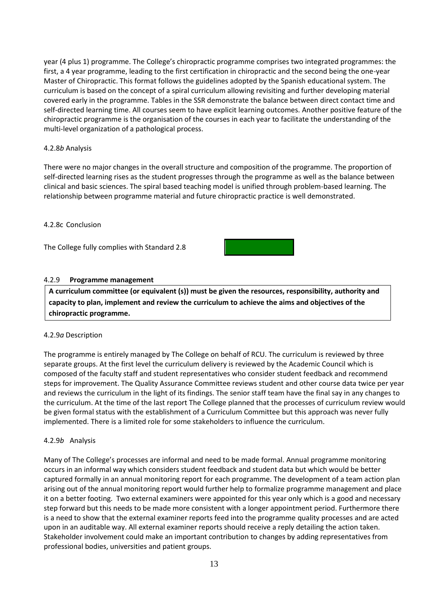year (4 plus 1) programme. The College's chiropractic programme comprises two integrated programmes: the first, a 4 year programme, leading to the first certification in chiropractic and the second being the one-year Master of Chiropractic. This format follows the guidelines adopted by the Spanish educational system. The curriculum is based on the concept of a spiral curriculum allowing revisiting and further developing material covered early in the programme. Tables in the SSR demonstrate the balance between direct contact time and self-directed learning time. All courses seem to have explicit learning outcomes. Another positive feature of the chiropractic programme is the organisation of the courses in each year to facilitate the understanding of the multi-level organization of a pathological process.

#### 4.2.8*b* Analysis

There were no major changes in the overall structure and composition of the programme. The proportion of self-directed learning rises as the student progresses through the programme as well as the balance between clinical and basic sciences. The spiral based teaching model is unified through problem-based learning. The relationship between programme material and future chiropractic practice is well demonstrated.

#### 4.2.8c Conclusion

The College fully complies with Standard 2.8

#### 4.2.9 **Programme management**

**A curriculum committee (or equivalent (s)) must be given the resources, responsibility, authority and capacity to plan, implement and review the curriculum to achieve the aims and objectives of the chiropractic programme.**

#### 4.2.9*a* Description

The programme is entirely managed by The College on behalf of RCU. The curriculum is reviewed by three separate groups. At the first level the curriculum delivery is reviewed by the Academic Council which is composed of the faculty staff and student representatives who consider student feedback and recommend steps for improvement. The Quality Assurance Committee reviews student and other course data twice per year and reviews the curriculum in the light of its findings. The senior staff team have the final say in any changes to the curriculum. At the time of the last report The College planned that the processes of curriculum review would be given formal status with the establishment of a Curriculum Committee but this approach was never fully implemented. There is a limited role for some stakeholders to influence the curriculum.

#### 4.2.9*b* Analysis

Many of The College's processes are informal and need to be made formal. Annual programme monitoring occurs in an informal way which considers student feedback and student data but which would be better captured formally in an annual monitoring report for each programme. The development of a team action plan arising out of the annual monitoring report would further help to formalize programme management and place it on a better footing. Two external examiners were appointed for this year only which is a good and necessary step forward but this needs to be made more consistent with a longer appointment period. Furthermore there is a need to show that the external examiner reports feed into the programme quality processes and are acted upon in an auditable way. All external examiner reports should receive a reply detailing the action taken. Stakeholder involvement could make an important contribution to changes by adding representatives from professional bodies, universities and patient groups.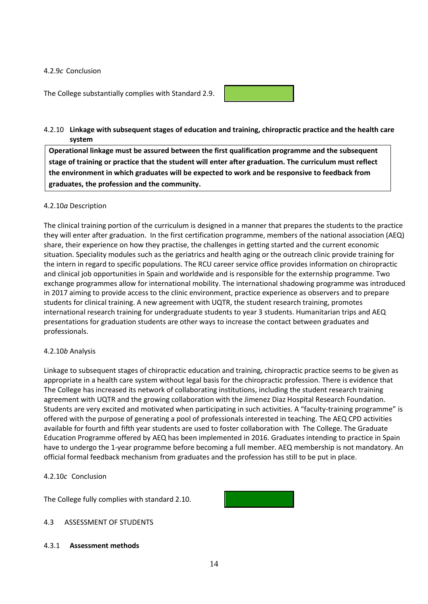#### 4.2.9*c* Conclusion

The College substantially complies with Standard 2.9.



#### 4.2.10 **Linkage with subsequent stages of education and training, chiropractic practice and the health care system**

**Operational linkage must be assured between the first qualification programme and the subsequent stage of training or practice that the student will enter after graduation. The curriculum must reflect the environment in which graduates will be expected to work and be responsive to feedback from graduates, the profession and the community.**

#### 4.2.10*a* Description

The clinical training portion of the curriculum is designed in a manner that prepares the students to the practice they will enter after graduation. In the first certification programme, members of the national association (AEQ) share, their experience on how they practise, the challenges in getting started and the current economic situation. Speciality modules such as the geriatrics and health aging or the outreach clinic provide training for the intern in regard to specific populations. The RCU career service office provides information on chiropractic and clinical job opportunities in Spain and worldwide and is responsible for the externship programme. Two exchange programmes allow for international mobility. The international shadowing programme was introduced in 2017 aiming to provide access to the clinic environment, practice experience as observers and to prepare students for clinical training. A new agreement with UQTR, the student research training, promotes international research training for undergraduate students to year 3 students. Humanitarian trips and AEQ presentations for graduation students are other ways to increase the contact between graduates and professionals.

#### 4.2.10*b* Analysis

Linkage to subsequent stages of chiropractic education and training, chiropractic practice seems to be given as appropriate in a health care system without legal basis for the chiropractic profession. There is evidence that The College has increased its network of collaborating institutions, including the student research training agreement with UQTR and the growing collaboration with the Jimenez Diaz Hospital Research Foundation. Students are very excited and motivated when participating in such activities. A "faculty-training programme" is offered with the purpose of generating a pool of professionals interested in teaching. The AEQ CPD activities available for fourth and fifth year students are used to foster collaboration with The College. The Graduate Education Programme offered by AEQ has been implemented in 2016. Graduates intending to practice in Spain have to undergo the 1-year programme before becoming a full member. AEQ membership is not mandatory. An official formal feedback mechanism from graduates and the profession has still to be put in place.

#### 4.2.10*c* Conclusion

The College fully complies with standard 2.10.



### 4.3 ASSESSMENT OF STUDENTS

#### 4.3.1 **Assessment methods**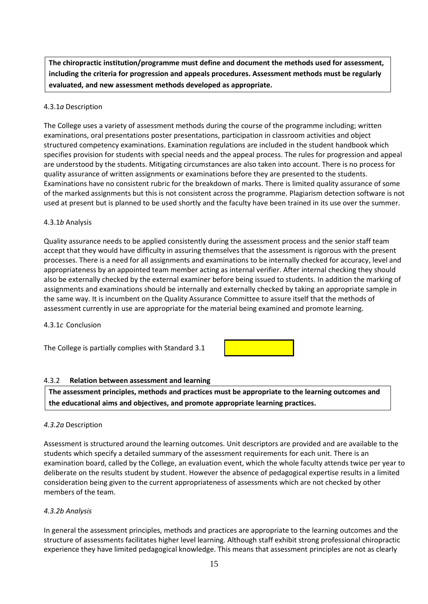**The chiropractic institution/programme must define and document the methods used for assessment, including the criteria for progression and appeals procedures. Assessment methods must be regularly evaluated, and new assessment methods developed as appropriate.**

#### 4.3.1*a* Description

The College uses a variety of assessment methods during the course of the programme including; written examinations, oral presentations poster presentations, participation in classroom activities and object structured competency examinations. Examination regulations are included in the student handbook which specifies provision for students with special needs and the appeal process. The rules for progression and appeal are understood by the students. Mitigating circumstances are also taken into account. There is no process for quality assurance of written assignments or examinations before they are presented to the students. Examinations have no consistent rubric for the breakdown of marks. There is limited quality assurance of some of the marked assignments but this is not consistent across the programme. Plagiarism detection software is not used at present but is planned to be used shortly and the faculty have been trained in its use over the summer.

#### 4.3.1*b* Analysis

Quality assurance needs to be applied consistently during the assessment process and the senior staff team accept that they would have difficulty in assuring themselves that the assessment is rigorous with the present processes. There is a need for all assignments and examinations to be internally checked for accuracy, level and appropriateness by an appointed team member acting as internal verifier. After internal checking they should also be externally checked by the external examiner before being issued to students. In addition the marking of assignments and examinations should be internally and externally checked by taking an appropriate sample in the same way. It is incumbent on the Quality Assurance Committee to assure itself that the methods of assessment currently in use are appropriate for the material being examined and promote learning.

4.3.1*c* Conclusion

The College is partially complies with Standard 3.1



#### 4.3.2 **Relation between assessment and learning**

**The assessment principles, methods and practices must be appropriate to the learning outcomes and the educational aims and objectives, and promote appropriate learning practices.**

#### *4.3.2a* Description

Assessment is structured around the learning outcomes. Unit descriptors are provided and are available to the students which specify a detailed summary of the assessment requirements for each unit. There is an examination board, called by the College, an evaluation event, which the whole faculty attends twice per year to deliberate on the results student by student. However the absence of pedagogical expertise results in a limited consideration being given to the current appropriateness of assessments which are not checked by other members of the team.

#### *4.3.2b Analysis*

In general the assessment principles, methods and practices are appropriate to the learning outcomes and the structure of assessments facilitates higher level learning. Although staff exhibit strong professional chiropractic experience they have limited pedagogical knowledge. This means that assessment principles are not as clearly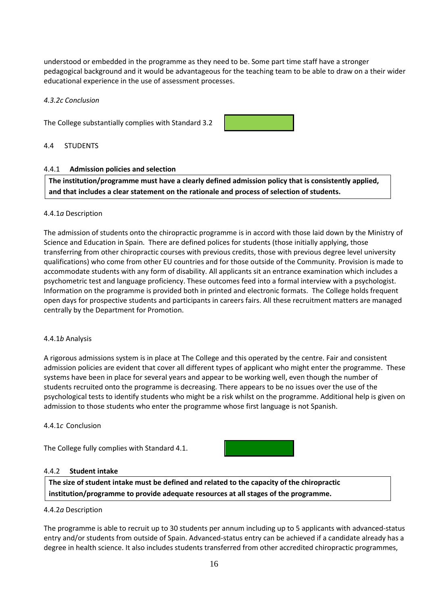understood or embedded in the programme as they need to be. Some part time staff have a stronger pedagogical background and it would be advantageous for the teaching team to be able to draw on a their wider educational experience in the use of assessment processes.

#### *4.3.2c Conclusion*

The College substantially complies with Standard 3.2



#### 4.4 STUDENTS

#### 4.4.1 **Admission policies and selection**

**The institution/programme must have a clearly defined admission policy that is consistently applied, and that includes a clear statement on the rationale and process of selection of students.**

#### 4.4.1*a* Description

The admission of students onto the chiropractic programme is in accord with those laid down by the Ministry of Science and Education in Spain. There are defined polices for students (those initially applying, those transferring from other chiropractic courses with previous credits, those with previous degree level university qualifications) who come from other EU countries and for those outside of the Community. Provision is made to accommodate students with any form of disability. All applicants sit an entrance examination which includes a psychometric test and language proficiency. These outcomes feed into a formal interview with a psychologist. Information on the programme is provided both in printed and electronic formats. The College holds frequent open days for prospective students and participants in careers fairs. All these recruitment matters are managed centrally by the Department for Promotion.

#### 4.4.1*b* Analysis

A rigorous admissions system is in place at The College and this operated by the centre. Fair and consistent admission policies are evident that cover all different types of applicant who might enter the programme. These systems have been in place for several years and appear to be working well, even though the number of students recruited onto the programme is decreasing. There appears to be no issues over the use of the psychological tests to identify students who might be a risk whilst on the programme. Additional help is given on admission to those students who enter the programme whose first language is not Spanish.

#### 4.4.1*c* Conclusion

The College fully complies with Standard 4.1.



#### 4.4.2 **Student intake**

**The size of student intake must be defined and related to the capacity of the chiropractic institution/programme to provide adequate resources at all stages of the programme.**

#### 4.4.2*a* Description

The programme is able to recruit up to 30 students per annum including up to 5 applicants with advanced-status entry and/or students from outside of Spain. Advanced-status entry can be achieved if a candidate already has a degree in health science. It also includes students transferred from other accredited chiropractic programmes,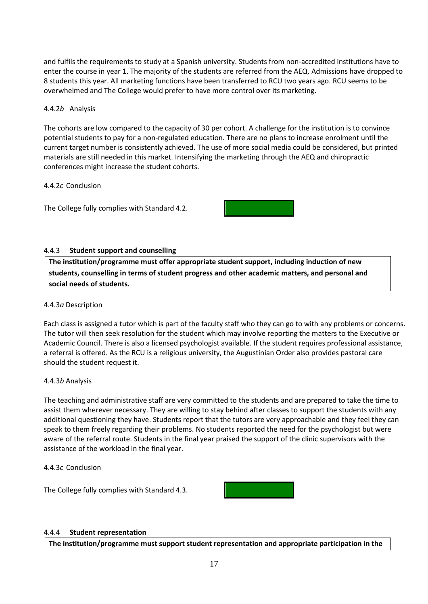and fulfils the requirements to study at a Spanish university. Students from non-accredited institutions have to enter the course in year 1. The majority of the students are referred from the AEQ. Admissions have dropped to 8 students this year. All marketing functions have been transferred to RCU two years ago. RCU seems to be overwhelmed and The College would prefer to have more control over its marketing.

#### 4.4.2*b* Analysis

The cohorts are low compared to the capacity of 30 per cohort. A challenge for the institution is to convince potential students to pay for a non-regulated education. There are no plans to increase enrolment until the current target number is consistently achieved. The use of more social media could be considered, but printed materials are still needed in this market. Intensifying the marketing through the AEQ and chiropractic conferences might increase the student cohorts.

#### 4.4.2*c* Conclusion

The College fully complies with Standard 4.2.



#### 4.4.3 **Student support and counselling**

**The institution/programme must offer appropriate student support, including induction of new students, counselling in terms of student progress and other academic matters, and personal and social needs of students.**

#### 4.4.3*a* Description

Each class is assigned a tutor which is part of the faculty staff who they can go to with any problems or concerns. The tutor will then seek resolution for the student which may involve reporting the matters to the Executive or Academic Council. There is also a licensed psychologist available. If the student requires professional assistance, a referral is offered. As the RCU is a religious university, the Augustinian Order also provides pastoral care should the student request it.

#### 4.4.3*b* Analysis

The teaching and administrative staff are very committed to the students and are prepared to take the time to assist them wherever necessary. They are willing to stay behind after classes to support the students with any additional questioning they have. Students report that the tutors are very approachable and they feel they can speak to them freely regarding their problems. No students reported the need for the psychologist but were aware of the referral route. Students in the final year praised the support of the clinic supervisors with the assistance of the workload in the final year.

4.4.3*c* Conclusion

The College fully complies with Standard 4.3.



#### 4.4.4 **Student representation**

**The institution/programme must support student representation and appropriate participation in the**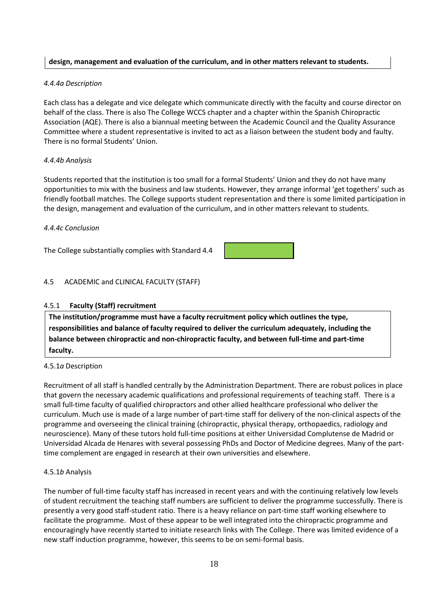### **design, management and evaluation of the curriculum, and in other matters relevant to students.**

#### *4.4.4a Description*

Each class has a delegate and vice delegate which communicate directly with the faculty and course director on behalf of the class. There is also The College WCCS chapter and a chapter within the Spanish Chiropractic Association (AQE). There is also a biannual meeting between the Academic Council and the Quality Assurance Committee where a student representative is invited to act as a liaison between the student body and faulty. There is no formal Students' Union.

#### *4.4.4b Analysis*

Students reported that the institution is too small for a formal Students' Union and they do not have many opportunities to mix with the business and law students. However, they arrange informal 'get togethers' such as friendly football matches. The College supports student representation and there is some limited participation in the design, management and evaluation of the curriculum, and in other matters relevant to students.

#### *4.4.4c Conclusion*

The College substantially complies with Standard 4.4



### 4.5 ACADEMIC and CLINICAL FACULTY (STAFF)

#### 4.5.1 **Faculty (Staff) recruitment**

**The institution/programme must have a faculty recruitment policy which outlines the type, responsibilities and balance of faculty required to deliver the curriculum adequately, including the balance between chiropractic and non-chiropractic faculty, and between full-time and part-time faculty.**

#### 4.5.1*a* Description

Recruitment of all staff is handled centrally by the Administration Department. There are robust polices in place that govern the necessary academic qualifications and professional requirements of teaching staff. There is a small full-time faculty of qualified chiropractors and other allied healthcare professional who deliver the curriculum. Much use is made of a large number of part-time staff for delivery of the non-clinical aspects of the programme and overseeing the clinical training (chiropractic, physical therapy, orthopaedics, radiology and neuroscience). Many of these tutors hold full-time positions at either Universidad Complutense de Madrid or Universidad Alcada de Henares with several possessing PhDs and Doctor of Medicine degrees. Many of the parttime complement are engaged in research at their own universities and elsewhere.

#### 4.5.1*b* Analysis

The number of full-time faculty staff has increased in recent years and with the continuing relatively low levels of student recruitment the teaching staff numbers are sufficient to deliver the programme successfully. There is presently a very good staff-student ratio. There is a heavy reliance on part-time staff working elsewhere to facilitate the programme. Most of these appear to be well integrated into the chiropractic programme and encouragingly have recently started to initiate research links with The College. There was limited evidence of a new staff induction programme, however, this seems to be on semi-formal basis.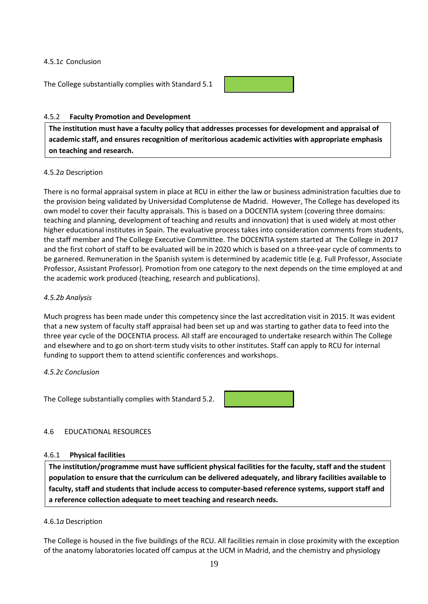#### 4.5.1*c* Conclusion

The College substantially complies with Standard 5.1



#### 4.5.2 **Faculty Promotion and Development**

**The institution must have a faculty policy that addresses processes for development and appraisal of academic staff, and ensures recognition of meritorious academic activities with appropriate emphasis on teaching and research.**

#### 4.5.2*a* Description

There is no formal appraisal system in place at RCU in either the law or business administration faculties due to the provision being validated by Universidad Complutense de Madrid. However, The College has developed its own model to cover their faculty appraisals. This is based on a DOCENTIA system (covering three domains: teaching and planning, development of teaching and results and innovation) that is used widely at most other higher educational institutes in Spain. The evaluative process takes into consideration comments from students, the staff member and The College Executive Committee. The DOCENTIA system started at The College in 2017 and the first cohort of staff to be evaluated will be in 2020 which is based on a three-year cycle of comments to be garnered. Remuneration in the Spanish system is determined by academic title (e.g. Full Professor, Associate Professor, Assistant Professor). Promotion from one category to the next depends on the time employed at and the academic work produced (teaching, research and publications).

#### *4.5.2b Analysis*

Much progress has been made under this competency since the last accreditation visit in 2015. It was evident that a new system of faculty staff appraisal had been set up and was starting to gather data to feed into the three year cycle of the DOCENTIA process. All staff are encouraged to undertake research within The College and elsewhere and to go on short-term study visits to other institutes. Staff can apply to RCU for internal funding to support them to attend scientific conferences and workshops.

#### *4.5.2c Conclusion*

The College substantially complies with Standard 5.2.

#### 4.6 EDUCATIONAL RESOURCES

#### 4.6.1 **Physical facilities**

**The institution/programme must have sufficient physical facilities for the faculty, staff and the student population to ensure that the curriculum can be delivered adequately, and library facilities available to faculty, staff and students that include access to computer-based reference systems, support staff and a reference collection adequate to meet teaching and research needs.**

#### 4.6.1*a* Description

The College is housed in the five buildings of the RCU. All facilities remain in close proximity with the exception of the anatomy laboratories located off campus at the UCM in Madrid, and the chemistry and physiology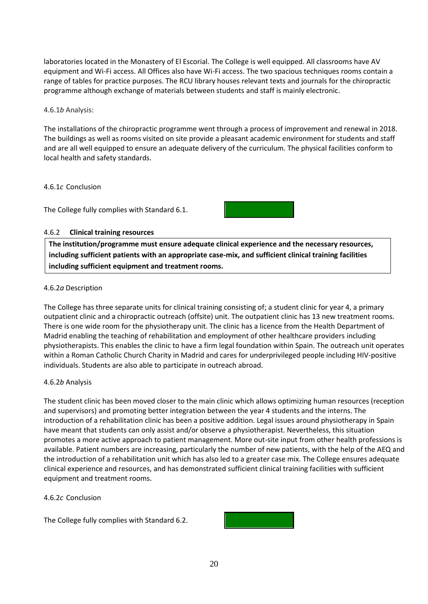laboratories located in the Monastery of El Escorial. The College is well equipped. All classrooms have AV equipment and Wi-Fi access. All Offices also have Wi-Fi access. The two spacious techniques rooms contain a range of tables for practice purposes. The RCU library houses relevant texts and journals for the chiropractic programme although exchange of materials between students and staff is mainly electronic.

4.6.1*b* Analysis:

The installations of the chiropractic programme went through a process of improvement and renewal in 2018. The buildings as well as rooms visited on site provide a pleasant academic environment for students and staff and are all well equipped to ensure an adequate delivery of the curriculum. The physical facilities conform to local health and safety standards.

#### 4.6.1*c* Conclusion

The College fully complies with Standard 6.1.



#### 4.6.2 **Clinical training resources**

**The institution/programme must ensure adequate clinical experience and the necessary resources, including sufficient patients with an appropriate case-mix, and sufficient clinical training facilities including sufficient equipment and treatment rooms.**

#### 4.6.2*a* Description

The College has three separate units for clinical training consisting of; a student clinic for year 4, a primary outpatient clinic and a chiropractic outreach (offsite) unit. The outpatient clinic has 13 new treatment rooms. There is one wide room for the physiotherapy unit. The clinic has a licence from the Health Department of Madrid enabling the teaching of rehabilitation and employment of other healthcare providers including physiotherapists. This enables the clinic to have a firm legal foundation within Spain. The outreach unit operates within a Roman Catholic Church Charity in Madrid and cares for underprivileged people including HIV-positive individuals. Students are also able to participate in outreach abroad.

#### 4.6.2*b* Analysis

The student clinic has been moved closer to the main clinic which allows optimizing human resources (reception and supervisors) and promoting better integration between the year 4 students and the interns. The introduction of a rehabilitation clinic has been a positive addition. Legal issues around physiotherapy in Spain have meant that students can only assist and/or observe a physiotherapist. Nevertheless, this situation promotes a more active approach to patient management. More out-site input from other health professions is available. Patient numbers are increasing, particularly the number of new patients, with the help of the AEQ and the introduction of a rehabilitation unit which has also led to a greater case mix. The College ensures adequate clinical experience and resources, and has demonstrated sufficient clinical training facilities with sufficient equipment and treatment rooms.

#### 4.6.2*c* Conclusion

The College fully complies with Standard 6.2.

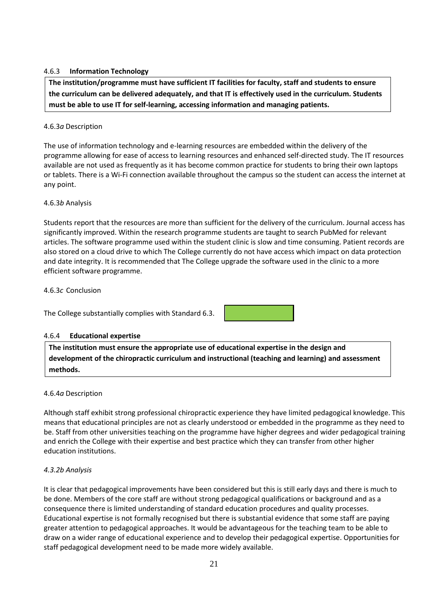#### 4.6.3 **Information Technology**

**The institution/programme must have sufficient IT facilities for faculty, staff and students to ensure the curriculum can be delivered adequately, and that IT is effectively used in the curriculum. Students must be able to use IT for self-learning, accessing information and managing patients.**

#### 4.6.3*a* Description

The use of information technology and e-learning resources are embedded within the delivery of the programme allowing for ease of access to learning resources and enhanced self-directed study. The IT resources available are not used as frequently as it has become common practice for students to bring their own laptops or tablets. There is a Wi-Fi connection available throughout the campus so the student can access the internet at any point.

#### 4.6.3*b* Analysis

Students report that the resources are more than sufficient for the delivery of the curriculum. Journal access has significantly improved. Within the research programme students are taught to search PubMed for relevant articles. The software programme used within the student clinic is slow and time consuming. Patient records are also stored on a cloud drive to which The College currently do not have access which impact on data protection and date integrity. It is recommended that The College upgrade the software used in the clinic to a more efficient software programme.

4.6.3*c* Conclusion

The College substantially complies with Standard 6.3.

#### 4.6.4 **Educational expertise**

**The institution must ensure the appropriate use of educational expertise in the design and development of the chiropractic curriculum and instructional (teaching and learning) and assessment methods.**

#### 4.6.4*a* Description

Although staff exhibit strong professional chiropractic experience they have limited pedagogical knowledge. This means that educational principles are not as clearly understood or embedded in the programme as they need to be. Staff from other universities teaching on the programme have higher degrees and wider pedagogical training and enrich the College with their expertise and best practice which they can transfer from other higher education institutions.

#### *4.3.2b Analysis*

It is clear that pedagogical improvements have been considered but this is still early days and there is much to be done. Members of the core staff are without strong pedagogical qualifications or background and as a consequence there is limited understanding of standard education procedures and quality processes. Educational expertise is not formally recognised but there is substantial evidence that some staff are paying greater attention to pedagogical approaches. It would be advantageous for the teaching team to be able to draw on a wider range of educational experience and to develop their pedagogical expertise. Opportunities for staff pedagogical development need to be made more widely available.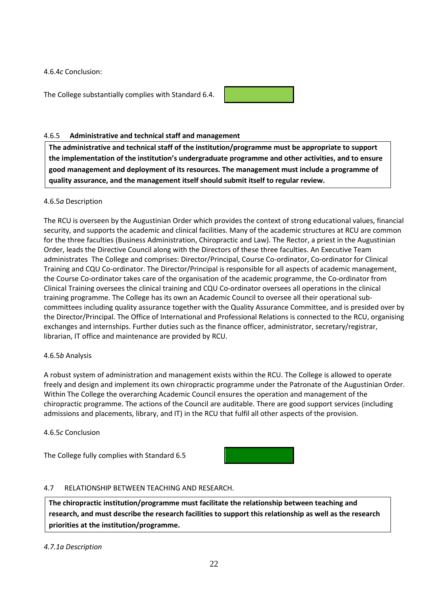4.6.4*c* Conclusion:

The College substantially complies with Standard 6.4.



#### 4.6.5 **Administrative and technical staff and management**

**The administrative and technical staff of the institution/programme must be appropriate to support the implementation of the institution's undergraduate programme and other activities, and to ensure good management and deployment of its resources. The management must include a programme of quality assurance, and the management itself should submit itself to regular review.**

#### 4.6.5*a* Description

The RCU is overseen by the Augustinian Order which provides the context of strong educational values, financial security, and supports the academic and clinical facilities. Many of the academic structures at RCU are common for the three faculties (Business Administration, Chiropractic and Law). The Rector, a priest in the Augustinian Order, leads the Directive Council along with the Directors of these three faculties. An Executive Team administrates The College and comprises: Director/Principal, Course Co-ordinator, Co-ordinator for Clinical Training and CQU Co-ordinator. The Director/Principal is responsible for all aspects of academic management, the Course Co-ordinator takes care of the organisation of the academic programme, the Co-ordinator from Clinical Training oversees the clinical training and CQU Co-ordinator oversees all operations in the clinical training programme. The College has its own an Academic Council to oversee all their operational subcommittees including quality assurance together with the Quality Assurance Committee, and is presided over by the Director/Principal. The Office of International and Professional Relations is connected to the RCU, organising exchanges and internships. Further duties such as the finance officer, administrator, secretary/registrar, librarian, IT office and maintenance are provided by RCU.

#### 4.6.5*b* Analysis

A robust system of administration and management exists within the RCU. The College is allowed to operate freely and design and implement its own chiropractic programme under the Patronate of the Augustinian Order. Within The College the overarching Academic Council ensures the operation and management of the chiropractic programme. The actions of the Council are auditable. There are good support services (including admissions and placements, library, and IT) in the RCU that fulfil all other aspects of the provision.

4.6.5*c* Conclusion

The College fully complies with Standard 6.5



#### 4.7 RELATIONSHIP BETWEEN TEACHING AND RESEARCH.

**The chiropractic institution/programme must facilitate the relationship between teaching and research, and must describe the research facilities to support this relationship as well as the research priorities at the institution/programme.**

*4.7.1a Description*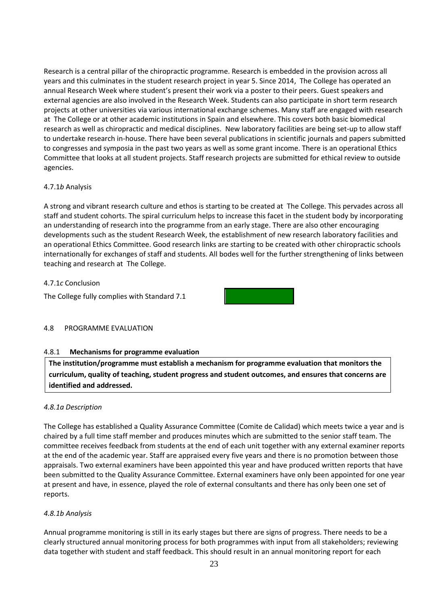Research is a central pillar of the chiropractic programme. Research is embedded in the provision across all years and this culminates in the student research project in year 5. Since 2014, The College has operated an annual Research Week where student's present their work via a poster to their peers. Guest speakers and external agencies are also involved in the Research Week. Students can also participate in short term research projects at other universities via various international exchange schemes. Many staff are engaged with research at The College or at other academic institutions in Spain and elsewhere. This covers both basic biomedical research as well as chiropractic and medical disciplines. New laboratory facilities are being set-up to allow staff to undertake research in-house. There have been several publications in scientific journals and papers submitted to congresses and symposia in the past two years as well as some grant income. There is an operational Ethics Committee that looks at all student projects. Staff research projects are submitted for ethical review to outside agencies.

#### 4.7.1*b* Analysis

A strong and vibrant research culture and ethos is starting to be created at The College. This pervades across all staff and student cohorts. The spiral curriculum helps to increase this facet in the student body by incorporating an understanding of research into the programme from an early stage. There are also other encouraging developments such as the student Research Week, the establishment of new research laboratory facilities and an operational Ethics Committee. Good research links are starting to be created with other chiropractic schools internationally for exchanges of staff and students. All bodes well for the further strengthening of links between teaching and research at The College.

#### 4.7.1*c* Conclusion

The College fully complies with Standard 7.1



#### 4.8 PROGRAMME EVALUATION

#### 4.8.1 **Mechanisms for programme evaluation**

**The institution/programme must establish a mechanism for programme evaluation that monitors the curriculum, quality of teaching, student progress and student outcomes, and ensures that concerns are identified and addressed.**

#### *4.8.1a Description*

The College has established a Quality Assurance Committee (Comite de Calidad) which meets twice a year and is chaired by a full time staff member and produces minutes which are submitted to the senior staff team. The committee receives feedback from students at the end of each unit together with any external examiner reports at the end of the academic year. Staff are appraised every five years and there is no promotion between those appraisals. Two external examiners have been appointed this year and have produced written reports that have been submitted to the Quality Assurance Committee. External examiners have only been appointed for one year at present and have, in essence, played the role of external consultants and there has only been one set of reports.

#### *4.8.1b Analysis*

Annual programme monitoring is still in its early stages but there are signs of progress. There needs to be a clearly structured annual monitoring process for both programmes with input from all stakeholders; reviewing data together with student and staff feedback. This should result in an annual monitoring report for each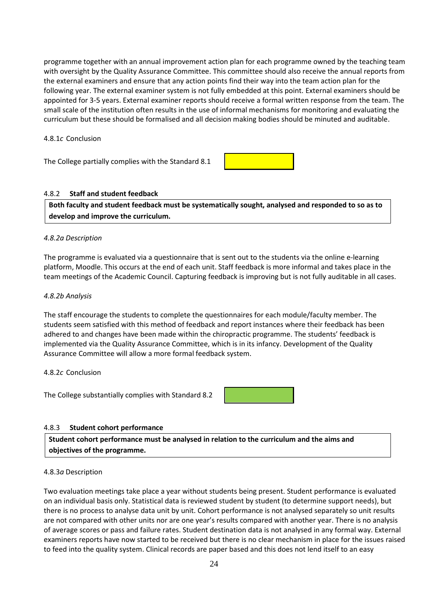programme together with an annual improvement action plan for each programme owned by the teaching team with oversight by the Quality Assurance Committee. This committee should also receive the annual reports from the external examiners and ensure that any action points find their way into the team action plan for the following year. The external examiner system is not fully embedded at this point. External examiners should be appointed for 3-5 years. External examiner reports should receive a formal written response from the team. The small scale of the institution often results in the use of informal mechanisms for monitoring and evaluating the curriculum but these should be formalised and all decision making bodies should be minuted and auditable.

4.8.1*c* Conclusion

The College partially complies with the Standard 8.1



#### 4.8.2 **Staff and student feedback**

**Both faculty and student feedback must be systematically sought, analysed and responded to so as to develop and improve the curriculum.**

#### *4.8.2a Description*

The programme is evaluated via a questionnaire that is sent out to the students via the online e-learning platform, Moodle. This occurs at the end of each unit. Staff feedback is more informal and takes place in the team meetings of the Academic Council. Capturing feedback is improving but is not fully auditable in all cases.

#### *4.8.2b Analysis*

The staff encourage the students to complete the questionnaires for each module/faculty member. The students seem satisfied with this method of feedback and report instances where their feedback has been adhered to and changes have been made within the chiropractic programme. The students' feedback is implemented via the Quality Assurance Committee, which is in its infancy. Development of the Quality Assurance Committee will allow a more formal feedback system.

#### 4.8.2*c* Conclusion

The College substantially complies with Standard 8.2

#### 4.8.3 **Student cohort performance**

**Student cohort performance must be analysed in relation to the curriculum and the aims and objectives of the programme.**

#### 4.8.3*a* Description

Two evaluation meetings take place a year without students being present. Student performance is evaluated on an individual basis only. Statistical data is reviewed student by student (to determine support needs), but there is no process to analyse data unit by unit. Cohort performance is not analysed separately so unit results are not compared with other units nor are one year's results compared with another year. There is no analysis of average scores or pass and failure rates. Student destination data is not analysed in any formal way. External examiners reports have now started to be received but there is no clear mechanism in place for the issues raised to feed into the quality system. Clinical records are paper based and this does not lend itself to an easy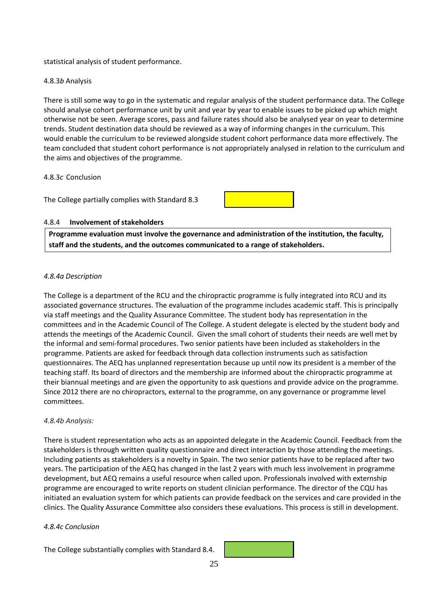statistical analysis of student performance.

#### 4.8.3*b* Analysis

There is still some way to go in the systematic and regular analysis of the student performance data. The College should analyse cohort performance unit by unit and year by year to enable issues to be picked up which might otherwise not be seen. Average scores, pass and failure rates should also be analysed year on year to determine trends. Student destination data should be reviewed as a way of informing changes in the curriculum. This would enable the curriculum to be reviewed alongside student cohort performance data more effectively. The team concluded that student cohort performance is not appropriately analysed in relation to the curriculum and the aims and objectives of the programme.

#### 4.8.3*c* Conclusion

The College partially complies with Standard 8.3



#### 4.8.4 **Involvement of stakeholders**

**Programme evaluation must involve the governance and administration of the institution, the faculty, staff and the students, and the outcomes communicated to a range of stakeholders.**

#### *4.8.4a Description*

The College is a department of the RCU and the chiropractic programme is fully integrated into RCU and its associated governance structures. The evaluation of the programme includes academic staff. This is principally via staff meetings and the Quality Assurance Committee. The student body has representation in the committees and in the Academic Council of The College. A student delegate is elected by the student body and attends the meetings of the Academic Council. Given the small cohort of students their needs are well met by the informal and semi-formal procedures. Two senior patients have been included as stakeholders in the programme. Patients are asked for feedback through data collection instruments such as satisfaction questionnaires. The AEQ has unplanned representation because up until now its president is a member of the teaching staff. Its board of directors and the membership are informed about the chiropractic programme at their biannual meetings and are given the opportunity to ask questions and provide advice on the programme. Since 2012 there are no chiropractors, external to the programme, on any governance or programme level committees.

#### *4.8.4b Analysis:*

There is student representation who acts as an appointed delegate in the Academic Council. Feedback from the stakeholders is through written quality questionnaire and direct interaction by those attending the meetings. Including patients as stakeholders is a novelty in Spain. The two senior patients have to be replaced after two years. The participation of the AEQ has changed in the last 2 years with much less involvement in programme development, but AEQ remains a useful resource when called upon. Professionals involved with externship programme are encouraged to write reports on student clinician performance. The director of the CQU has initiated an evaluation system for which patients can provide feedback on the services and care provided in the clinics. The Quality Assurance Committee also considers these evaluations. This process is still in development.

#### *4.8.4c Conclusion*

The College substantially complies with Standard 8.4.

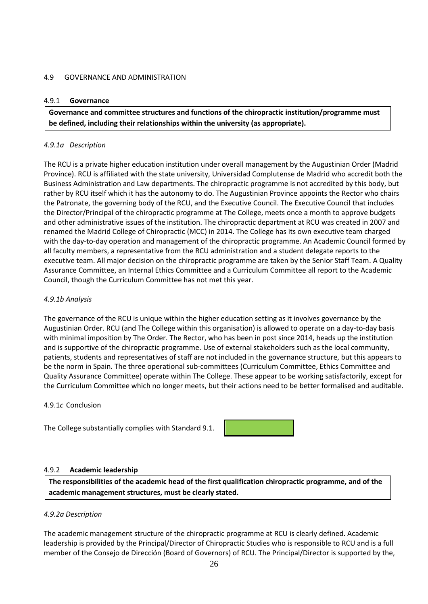#### 4.9 GOVERNANCE AND ADMINISTRATION

#### 4.9.1 **Governance**

**Governance and committee structures and functions of the chiropractic institution/programme must be defined, including their relationships within the university (as appropriate).**

#### *4.9.1a Description*

The RCU is a private higher education institution under overall management by the Augustinian Order (Madrid Province). RCU is affiliated with the state university, Universidad Complutense de Madrid who accredit both the Business Administration and Law departments. The chiropractic programme is not accredited by this body, but rather by RCU itself which it has the autonomy to do. The Augustinian Province appoints the Rector who chairs the Patronate, the governing body of the RCU, and the Executive Council. The Executive Council that includes the Director/Principal of the chiropractic programme at The College, meets once a month to approve budgets and other administrative issues of the institution. The chiropractic department at RCU was created in 2007 and renamed the Madrid College of Chiropractic (MCC) in 2014. The College has its own executive team charged with the day-to-day operation and management of the chiropractic programme. An Academic Council formed by all faculty members, a representative from the RCU administration and a student delegate reports to the executive team. All major decision on the chiropractic programme are taken by the Senior Staff Team. A Quality Assurance Committee, an Internal Ethics Committee and a Curriculum Committee all report to the Academic Council, though the Curriculum Committee has not met this year.

#### *4.9.1b Analysis*

The governance of the RCU is unique within the higher education setting as it involves governance by the Augustinian Order. RCU (and The College within this organisation) is allowed to operate on a day-to-day basis with minimal imposition by The Order. The Rector, who has been in post since 2014, heads up the institution and is supportive of the chiropractic programme. Use of external stakeholders such as the local community, patients, students and representatives of staff are not included in the governance structure, but this appears to be the norm in Spain. The three operational sub-committees (Curriculum Committee, Ethics Committee and Quality Assurance Committee) operate within The College. These appear to be working satisfactorily, except for the Curriculum Committee which no longer meets, but their actions need to be better formalised and auditable.

#### 4.9.1*c* Conclusion

The College substantially complies with Standard 9.1.



#### 4.9.2 **Academic leadership**

**The responsibilities of the academic head of the first qualification chiropractic programme, and of the academic management structures, must be clearly stated.**

#### *4.9.2a Description*

The academic management structure of the chiropractic programme at RCU is clearly defined. Academic leadership is provided by the Principal/Director of Chiropractic Studies who is responsible to RCU and is a full member of the Consejo de Dirección (Board of Governors) of RCU. The Principal/Director is supported by the,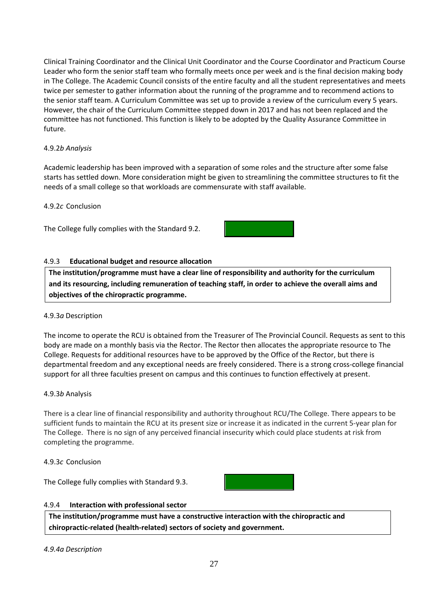Clinical Training Coordinator and the Clinical Unit Coordinator and the Course Coordinator and Practicum Course Leader who form the senior staff team who formally meets once per week and is the final decision making body in The College. The Academic Council consists of the entire faculty and all the student representatives and meets twice per semester to gather information about the running of the programme and to recommend actions to the senior staff team. A Curriculum Committee was set up to provide a review of the curriculum every 5 years. However, the chair of the Curriculum Committee stepped down in 2017 and has not been replaced and the committee has not functioned. This function is likely to be adopted by the Quality Assurance Committee in future.

#### 4.9.2*b Analysis*

Academic leadership has been improved with a separation of some roles and the structure after some false starts has settled down. More consideration might be given to streamlining the committee structures to fit the needs of a small college so that workloads are commensurate with staff available.

#### 4.9.2*c* Conclusion

The College fully complies with the Standard 9.2.

#### 4.9.3 **Educational budget and resource allocation**

**The institution/programme must have a clear line of responsibility and authority for the curriculum and its resourcing, including remuneration of teaching staff, in order to achieve the overall aims and objectives of the chiropractic programme.**

#### 4.9.3*a* Description

The income to operate the RCU is obtained from the Treasurer of The Provincial Council. Requests as sent to this body are made on a monthly basis via the Rector. The Rector then allocates the appropriate resource to The College. Requests for additional resources have to be approved by the Office of the Rector, but there is departmental freedom and any exceptional needs are freely considered. There is a strong cross-college financial support for all three faculties present on campus and this continues to function effectively at present.

#### 4.9.3*b* Analysis

There is a clear line of financial responsibility and authority throughout RCU/The College. There appears to be sufficient funds to maintain the RCU at its present size or increase it as indicated in the current 5-year plan for The College. There is no sign of any perceived financial insecurity which could place students at risk from completing the programme.

#### 4.9.3*c* Conclusion

The College fully complies with Standard 9.3.



#### 4.9.4 **Interaction with professional sector**

**The institution/programme must have a constructive interaction with the chiropractic and chiropractic-related (health-related) sectors of society and government.**

*4.9.4a Description*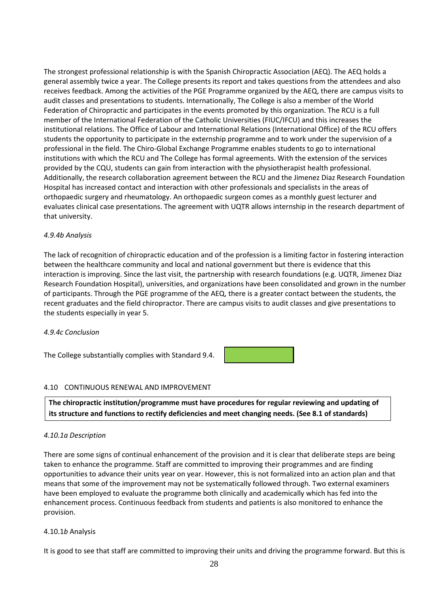The strongest professional relationship is with the Spanish Chiropractic Association (AEQ). The AEQ holds a general assembly twice a year. The College presents its report and takes questions from the attendees and also receives feedback. Among the activities of the PGE Programme organized by the AEQ, there are campus visits to audit classes and presentations to students. Internationally, The College is also a member of the World Federation of Chiropractic and participates in the events promoted by this organization. The RCU is a full member of the International Federation of the Catholic Universities (FIUC/IFCU) and this increases the institutional relations. The Office of Labour and International Relations (International Office) of the RCU offers students the opportunity to participate in the externship programme and to work under the supervision of a professional in the field. The Chiro-Global Exchange Programme enables students to go to international institutions with which the RCU and The College has formal agreements. With the extension of the services provided by the CQU, students can gain from interaction with the physiotherapist health professional. Additionally, the research collaboration agreement between the RCU and the Jimenez Diaz Research Foundation Hospital has increased contact and interaction with other professionals and specialists in the areas of orthopaedic surgery and rheumatology. An orthopaedic surgeon comes as a monthly guest lecturer and evaluates clinical case presentations. The agreement with UQTR allows internship in the research department of that university.

#### *4.9.4b Analysis*

The lack of recognition of chiropractic education and of the profession is a limiting factor in fostering interaction between the healthcare community and local and national government but there is evidence that this interaction is improving. Since the last visit, the partnership with research foundations (e.g. UQTR, Jimenez Diaz Research Foundation Hospital), universities, and organizations have been consolidated and grown in the number of participants. Through the PGE programme of the AEQ, there is a greater contact between the students, the recent graduates and the field chiropractor. There are campus visits to audit classes and give presentations to the students especially in year 5.

#### *4.9.4c Conclusion*

The College substantially complies with Standard 9.4.

# 4.10 CONTINUOUS RENEWAL AND IMPROVEMENT

**The chiropractic institution/programme must have procedures for regular reviewing and updating of its structure and functions to rectify deficiencies and meet changing needs. (See 8.1 of standards)**

#### *4.10.1a Description*

There are some signs of continual enhancement of the provision and it is clear that deliberate steps are being taken to enhance the programme. Staff are committed to improving their programmes and are finding opportunities to advance their units year on year. However, this is not formalized into an action plan and that means that some of the improvement may not be systematically followed through. Two external examiners have been employed to evaluate the programme both clinically and academically which has fed into the enhancement process. Continuous feedback from students and patients is also monitored to enhance the provision.

#### 4.10.1*b* Analysis

It is good to see that staff are committed to improving their units and driving the programme forward. But this is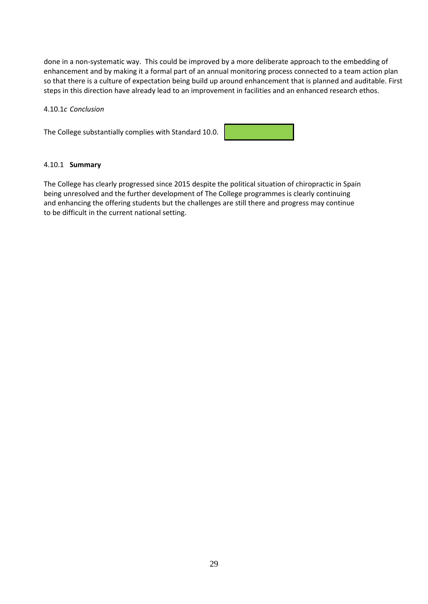done in a non-systematic way. This could be improved by a more deliberate approach to the embedding of enhancement and by making it a formal part of an annual monitoring process connected to a team action plan so that there is a culture of expectation being build up around enhancement that is planned and auditable. First steps in this direction have already lead to an improvement in facilities and an enhanced research ethos.

#### 4.10.1*c Conclusion*

The College substantially complies with Standard 10.0.



#### 4.10.1 **Summary**

The College has clearly progressed since 2015 despite the political situation of chiropractic in Spain being unresolved and the further development of The College programmes is clearly continuing and enhancing the offering students but the challenges are still there and progress may continue to be difficult in the current national setting.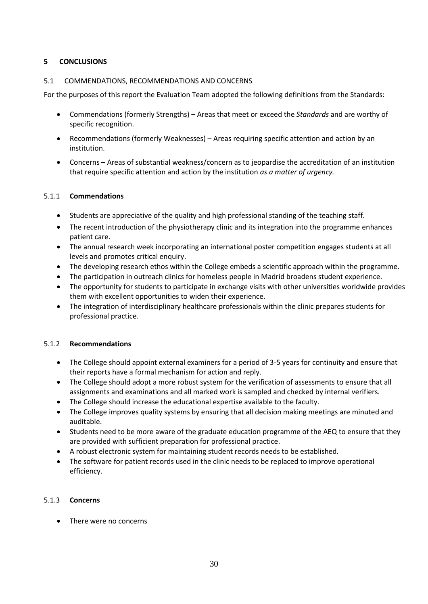### **5 CONCLUSIONS**

#### 5.1 COMMENDATIONS, RECOMMENDATIONS AND CONCERNS

For the purposes of this report the Evaluation Team adopted the following definitions from the Standards:

- Commendations (formerly Strengths) Areas that meet or exceed the *Standards* and are worthy of specific recognition.
- Recommendations (formerly Weaknesses) Areas requiring specific attention and action by an institution.
- Concerns Areas of substantial weakness/concern as to jeopardise the accreditation of an institution that require specific attention and action by the institution *as a matter of urgency.*

#### 5.1.1 **Commendations**

- Students are appreciative of the quality and high professional standing of the teaching staff.
- The recent introduction of the physiotherapy clinic and its integration into the programme enhances patient care.
- The annual research week incorporating an international poster competition engages students at all levels and promotes critical enquiry.
- The developing research ethos within the College embeds a scientific approach within the programme.
- The participation in outreach clinics for homeless people in Madrid broadens student experience.
- The opportunity for students to participate in exchange visits with other universities worldwide provides them with excellent opportunities to widen their experience.
- The integration of interdisciplinary healthcare professionals within the clinic prepares students for professional practice.

#### 5.1.2 **Recommendations**

- The College should appoint external examiners for a period of 3-5 years for continuity and ensure that their reports have a formal mechanism for action and reply.
- The College should adopt a more robust system for the verification of assessments to ensure that all assignments and examinations and all marked work is sampled and checked by internal verifiers.
- The College should increase the educational expertise available to the faculty.
- The College improves quality systems by ensuring that all decision making meetings are minuted and auditable.
- Students need to be more aware of the graduate education programme of the AEQ to ensure that they are provided with sufficient preparation for professional practice.
- A robust electronic system for maintaining student records needs to be established.
- The software for patient records used in the clinic needs to be replaced to improve operational efficiency.

#### 5.1.3 **Concerns**

• There were no concerns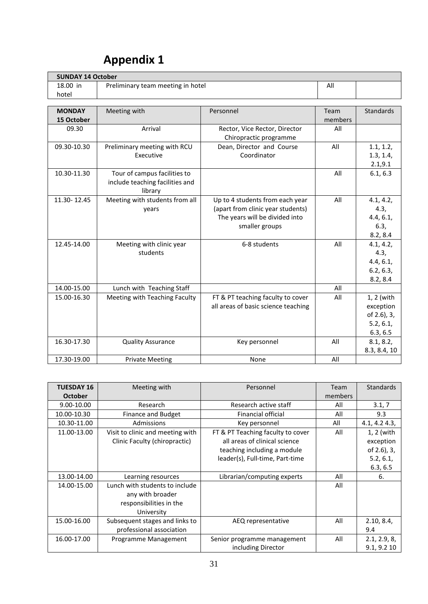| <b>SUNDAY 14 October</b> |                                   |                                     |         |              |  |  |  |
|--------------------------|-----------------------------------|-------------------------------------|---------|--------------|--|--|--|
| 18.00 in                 | Preliminary team meeting in hotel |                                     |         |              |  |  |  |
| hotel                    |                                   |                                     |         |              |  |  |  |
|                          |                                   |                                     |         |              |  |  |  |
| <b>MONDAY</b>            | Meeting with                      | Personnel                           | Team    | Standards    |  |  |  |
| 15 October               |                                   |                                     | members |              |  |  |  |
| 09.30                    | Arrival                           | Rector, Vice Rector, Director       | All     |              |  |  |  |
|                          |                                   | Chiropractic programme              |         |              |  |  |  |
| 09.30-10.30              | Preliminary meeting with RCU      | Dean, Director and Course           | All     | 1.1, 1.2,    |  |  |  |
|                          | Executive                         | Coordinator                         |         | 1.3, 1.4,    |  |  |  |
|                          |                                   |                                     |         | 2.1, 9.1     |  |  |  |
| 10.30-11.30              | Tour of campus facilities to      |                                     | All     | 6.1, 6.3     |  |  |  |
|                          | include teaching facilities and   |                                     |         |              |  |  |  |
|                          | library                           |                                     |         |              |  |  |  |
| 11.30-12.45              | Meeting with students from all    | Up to 4 students from each year     | All     | 4.1, 4.2,    |  |  |  |
|                          | years                             | (apart from clinic year students)   |         | 4.3,         |  |  |  |
|                          |                                   | The years will be divided into      |         | 4.4, 6.1,    |  |  |  |
|                          |                                   | smaller groups                      |         | 6.3,         |  |  |  |
|                          |                                   |                                     |         | 8.2, 8.4     |  |  |  |
| 12.45-14.00              | Meeting with clinic year          | 6-8 students                        | All     | 4.1, 4.2,    |  |  |  |
|                          | students                          |                                     |         | 4.3,         |  |  |  |
|                          |                                   |                                     |         | 4.4, 6.1,    |  |  |  |
|                          |                                   |                                     |         | 6.2, 6.3,    |  |  |  |
|                          |                                   |                                     |         | 8.2, 8.4     |  |  |  |
| 14.00-15.00              | Lunch with Teaching Staff         |                                     | All     |              |  |  |  |
| 15.00-16.30              | Meeting with Teaching Faculty     | FT & PT teaching faculty to cover   | All     | 1, 2 (with   |  |  |  |
|                          |                                   | all areas of basic science teaching |         | exception    |  |  |  |
|                          |                                   |                                     |         | of 2.6), 3,  |  |  |  |
|                          |                                   |                                     |         | 5.2, 6.1,    |  |  |  |
|                          |                                   |                                     |         | 6.3, 6.5     |  |  |  |
| 16.30-17.30              | <b>Quality Assurance</b>          | Key personnel                       | All     | 8.1, 8.2,    |  |  |  |
|                          |                                   |                                     |         | 8.3, 8.4, 10 |  |  |  |
| 17.30-19.00              | <b>Private Meeting</b>            | None                                | All     |              |  |  |  |

# **Appendix 1**

| <b>TUESDAY 16</b> | Meeting with                     | Personnel                         | Team    | <b>Standards</b> |
|-------------------|----------------------------------|-----------------------------------|---------|------------------|
| <b>October</b>    |                                  |                                   | members |                  |
| 9.00-10.00        | Research                         | Research active staff             | All     | 3.1, 7           |
| 10.00-10.30       | <b>Finance and Budget</b>        | <b>Financial official</b>         | All     | 9.3              |
| 10.30-11.00       | Admissions                       | Key personnel                     | All     | 4.1, 4.2 4.3,    |
| 11.00-13.00       | Visit to clinic and meeting with | FT & PT Teaching faculty to cover | All     | 1, 2 (with       |
|                   | Clinic Faculty (chiropractic)    | all areas of clinical science     |         | exception        |
|                   |                                  | teaching including a module       |         | of 2.6), 3,      |
|                   |                                  | leader(s), Full-time, Part-time   |         | 5.2, 6.1,        |
|                   |                                  |                                   |         | 6.3, 6.5         |
| 13.00-14.00       | Learning resources               | Librarian/computing experts       | All     | 6.               |
| 14.00-15.00       | Lunch with students to include   |                                   | All     |                  |
|                   | any with broader                 |                                   |         |                  |
|                   | responsibilities in the          |                                   |         |                  |
|                   | University                       |                                   |         |                  |
| 15.00-16.00       | Subsequent stages and links to   | AEQ representative                | All     | 2.10, 8.4,       |
|                   | professional association         |                                   |         | 9.4              |
| 16.00-17.00       | Programme Management             | Senior programme management       | All     | 2.1, 2.9, 8,     |
|                   |                                  | including Director                |         | 9.1, 9.2 10      |